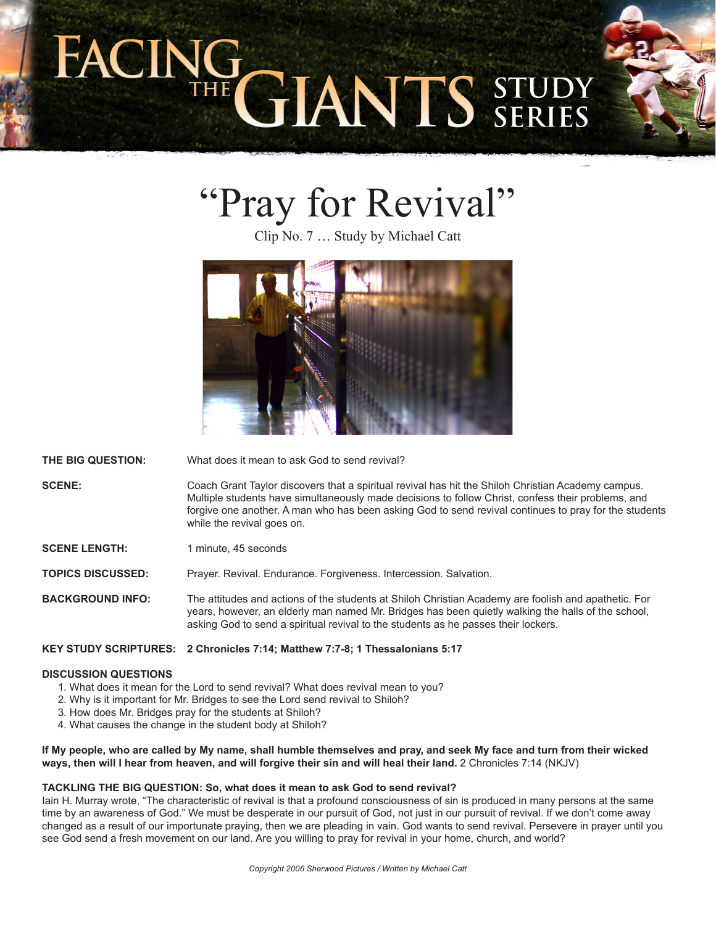# **GIANTS STUL**

# "Pray for Revival"

Clip No. 7 … Study by Michael Catt



**THE BIG QUESTION:** What does it mean to ask God to send revival?

**SCENE:** Coach Grant Taylor discovers that a spiritual revival has hit the Shiloh Christian Academy campus. Multiple students have simultaneously made decisions to follow Christ, confess their problems, and forgive one another. A man who has been asking God to send revival continues to pray for the students while the revival goes on.

**SCENE LENGTH:** 1 minute, 45 seconds

**TOPICS DISCUSSED:** Prayer. Revival. Endurance. Forgiveness. Intercession. Salvation.

**BACKGROUND INFO:** The attitudes and actions of the students at Shiloh Christian Academy are foolish and apathetic. For years, however, an elderly man named Mr. Bridges has been quietly walking the halls of the school, asking God to send a spiritual revival to the students as he passes their lockers.

# **KEY STUDY SCRIPTURES: 2 Chronicles 7:14; Matthew 7:7-8; 1 Thessalonians 5:17**

# **DISCUSSION QUESTIONS**

- 1. What does it mean for the Lord to send revival? What does revival mean to you?
- 2. Why is it important for Mr. Bridges to see the Lord send revival to Shiloh?
- 3. How does Mr. Bridges pray for the students at Shiloh?
- 4. What causes the change in the student body at Shiloh?

# **If My people, who are called by My name, shall humble themselves and pray, and seek My face and turn from their wicked ways, then will I hear from heaven, and will forgive their sin and will heal their land.** 2 Chronicles 7:14 (NKJV)

# **TACKLING THE BIG QUESTION: So, what does it mean to ask God to send revival?**

Iain H. Murray wrote, "The characteristic of revival is that a profound consciousness of sin is produced in many persons at the same time by an awareness of God." We must be desperate in our pursuit of God, not just in our pursuit of revival. If we don't come away changed as a result of our importunate praying, then we are pleading in vain. God wants to send revival. Persevere in prayer until you see God send a fresh movement on our land. Are you willing to pray for revival in your home, church, and world?